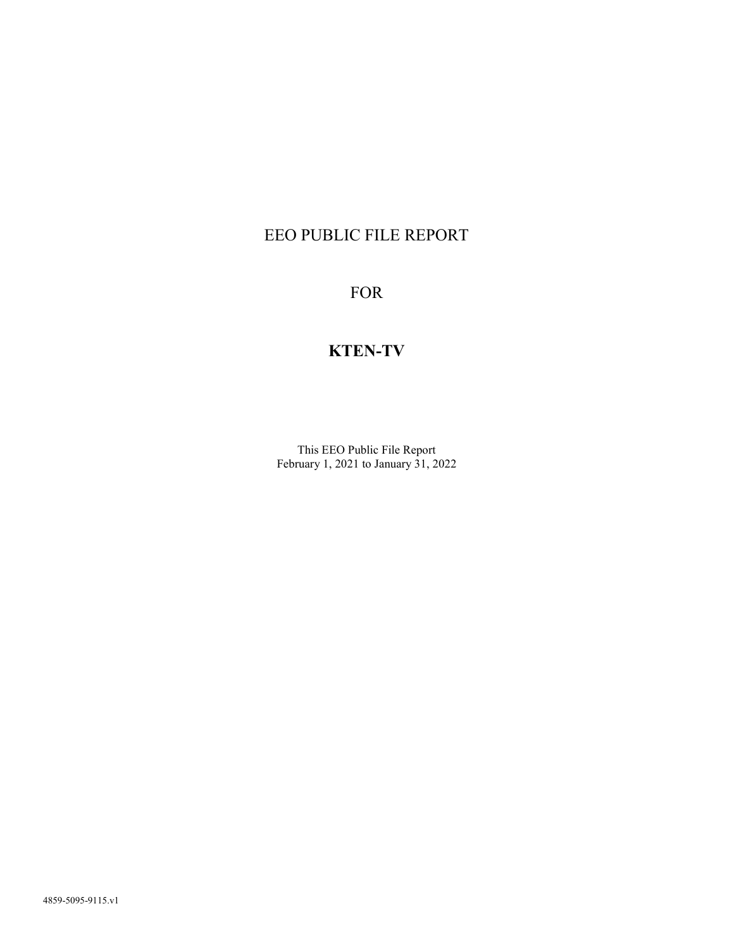# EEO PUBLIC FILE REPORT

FOR

# KTEN-TV

This EEO Public File Report February 1, 2021 to January 31, 2022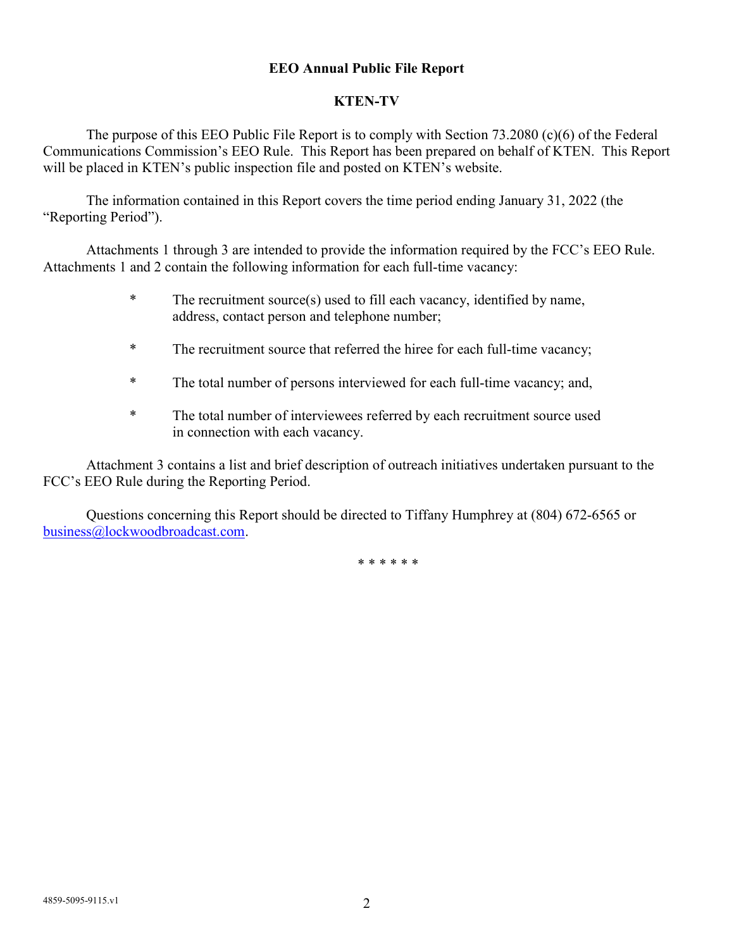### EEO Annual Public File Report

#### KTEN-TV

The purpose of this EEO Public File Report is to comply with Section 73.2080 (c)(6) of the Federal Communications Commission's EEO Rule. This Report has been prepared on behalf of KTEN. This Report will be placed in KTEN's public inspection file and posted on KTEN's website.

The information contained in this Report covers the time period ending January 31, 2022 (the "Reporting Period").

Attachments 1 through 3 are intended to provide the information required by the FCC's EEO Rule. Attachments 1 and 2 contain the following information for each full-time vacancy:

- \* The recruitment source(s) used to fill each vacancy, identified by name, address, contact person and telephone number;
- \* The recruitment source that referred the hiree for each full-time vacancy;
- \* The total number of persons interviewed for each full-time vacancy; and,
- \* The total number of interviewees referred by each recruitment source used in connection with each vacancy.

Attachment 3 contains a list and brief description of outreach initiatives undertaken pursuant to the FCC's EEO Rule during the Reporting Period.

Questions concerning this Report should be directed to Tiffany Humphrey at (804) 672-6565 or business@lockwoodbroadcast.com.

\* \* \* \* \* \*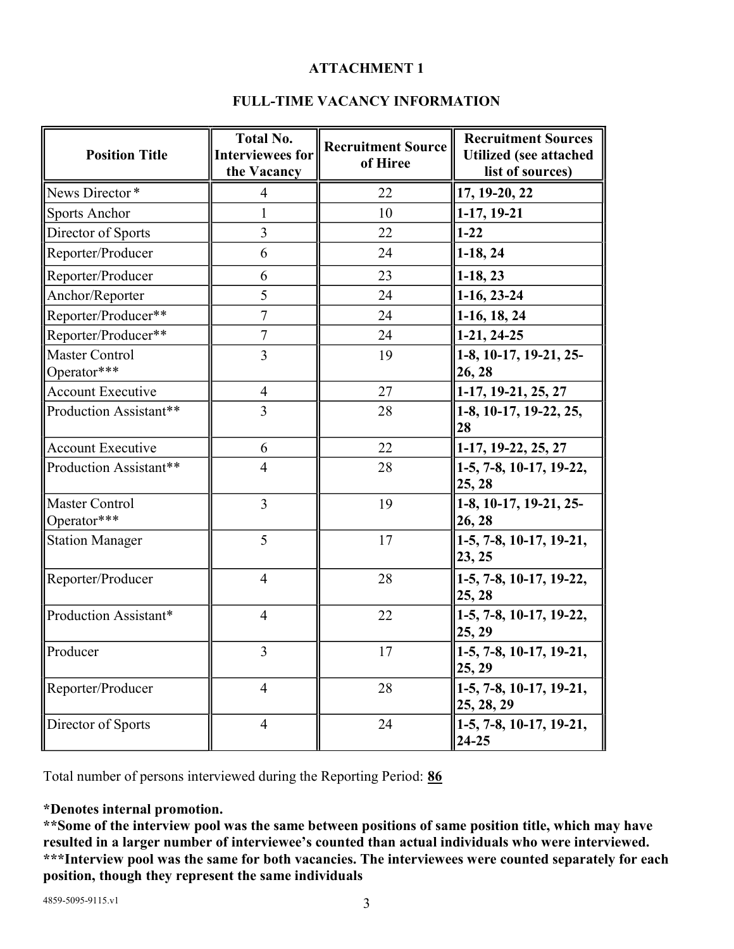## ATTACHMENT 1

## FULL-TIME VACANCY INFORMATION

| <b>Position Title</b>                | <b>Total No.</b><br><b>Interviewees for</b><br>the Vacancy | <b>Recruitment Source</b><br>of Hiree | <b>Recruitment Sources</b><br><b>Utilized</b> (see attached<br>list of sources) |
|--------------------------------------|------------------------------------------------------------|---------------------------------------|---------------------------------------------------------------------------------|
| News Director*                       | $\overline{4}$                                             | 22                                    | 17, 19-20, 22                                                                   |
| <b>Sports Anchor</b>                 | 1                                                          | 10                                    | $ 1-17, 19-21$                                                                  |
| Director of Sports                   | $\overline{3}$                                             | 22                                    | $1 - 22$                                                                        |
| Reporter/Producer                    | 6                                                          | 24                                    | $1-18, 24$                                                                      |
| Reporter/Producer                    | 6                                                          | 23                                    | $1-18, 23$                                                                      |
| Anchor/Reporter                      | 5                                                          | 24                                    | $1-16, 23-24$                                                                   |
| Reporter/Producer**                  | $\overline{7}$                                             | 24                                    | $1-16, 18, 24$                                                                  |
| Reporter/Producer**                  | $\tau$                                                     | 24                                    | $1-21, 24-25$                                                                   |
| <b>Master Control</b><br>Operator*** | $\overline{3}$                                             | 19                                    | 1-8, 10-17, 19-21, 25-<br>26, 28                                                |
| <b>Account Executive</b>             | $\overline{4}$                                             | 27                                    | $1-17, 19-21, 25, 27$                                                           |
| Production Assistant**               | 3                                                          | 28                                    | 1-8, 10-17, 19-22, 25,<br>28                                                    |
| <b>Account Executive</b>             | 6                                                          | 22                                    | 1-17, 19-22, 25, 27                                                             |
| Production Assistant**               | $\overline{4}$                                             | 28                                    | 1-5, 7-8, 10-17, 19-22,<br>25, 28                                               |
| Master Control<br>Operator***        | $\overline{3}$                                             | 19                                    | 1-8, 10-17, 19-21, 25-<br>26, 28                                                |
| <b>Station Manager</b>               | 5                                                          | 17                                    | $\left[1-5, 7-8, 10-17, 19-21, \right]$<br>23, 25                               |
| Reporter/Producer                    | $\overline{4}$                                             | 28                                    | $\left 1-5, 7-8, 10-17, 19-22, \right\rangle$<br>25, 28                         |
| Production Assistant*                | $\overline{4}$                                             | 22                                    | $1-5, 7-8, 10-17, 19-22,$<br>25, 29                                             |
| Producer                             | 3                                                          | 17                                    | $\left 1-5, 7-8, 10-17, 19-21, \right.$<br>25, 29                               |
| Reporter/Producer                    | $\overline{4}$                                             | 28                                    | 1-5, 7-8, 10-17, 19-21,<br>25, 28, 29                                           |
| Director of Sports                   | $\overline{4}$                                             | 24                                    | 1-5, 7-8, 10-17, 19-21,<br>$24 - 25$                                            |

Total number of persons interviewed during the Reporting Period: 86

## \*Denotes internal promotion.

\*\*Some of the interview pool was the same between positions of same position title, which may have resulted in a larger number of interviewee's counted than actual individuals who were interviewed. \*\*\*Interview pool was the same for both vacancies. The interviewees were counted separately for each position, though they represent the same individuals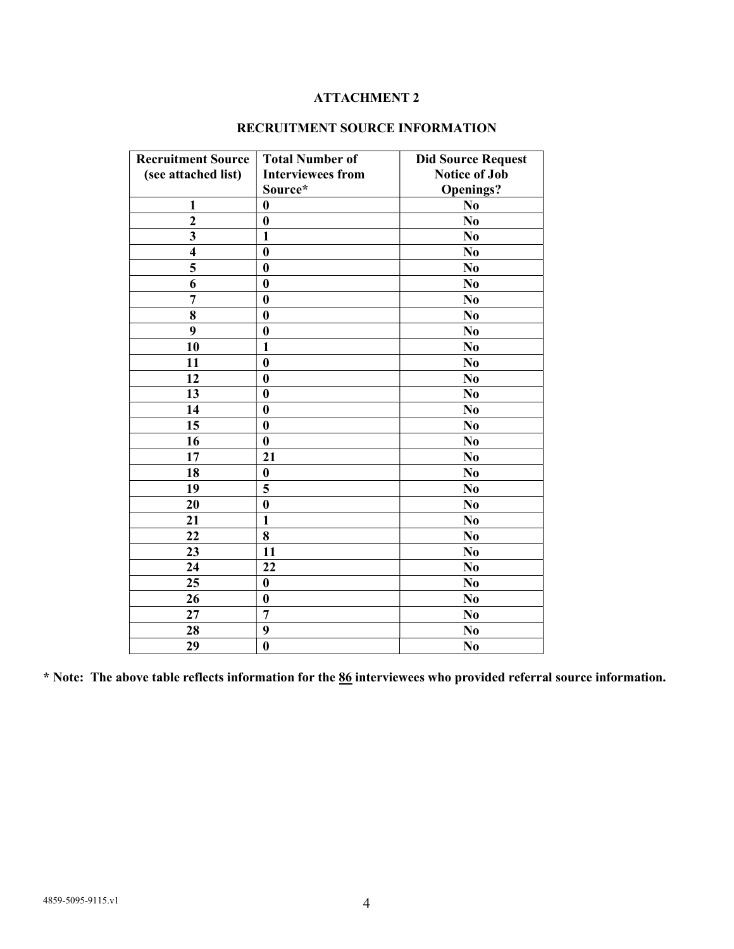### ATTACHMENT 2

| <b>Recruitment Source</b><br>(see attached list) | <b>Total Number of</b><br><b>Interviewees from</b> | <b>Did Source Request</b><br><b>Notice of Job</b> |
|--------------------------------------------------|----------------------------------------------------|---------------------------------------------------|
| 1                                                | Source*<br>$\bf{0}$                                | <b>Openings?</b>                                  |
| $\overline{2}$                                   | $\bf{0}$                                           | N <sub>0</sub><br>N <sub>0</sub>                  |
| $\overline{\mathbf{3}}$                          | $\mathbf{1}$                                       | N <sub>0</sub>                                    |
| $\overline{\mathbf{4}}$                          | $\bf{0}$                                           |                                                   |
| 5                                                | $\boldsymbol{0}$                                   | N <sub>0</sub><br>N <sub>0</sub>                  |
| 6                                                |                                                    |                                                   |
| $\overline{7}$                                   | $\boldsymbol{0}$<br>$\bf{0}$                       | N <sub>0</sub>                                    |
|                                                  |                                                    | N <sub>0</sub>                                    |
| 8                                                | $\boldsymbol{0}$                                   | N <sub>0</sub>                                    |
| 9                                                | $\boldsymbol{0}$                                   | N <sub>0</sub>                                    |
| 10                                               | $\mathbf{1}$                                       | N <sub>0</sub>                                    |
| 11                                               | $\boldsymbol{0}$                                   | N <sub>0</sub>                                    |
| 12                                               | $\bf{0}$                                           | N <sub>0</sub>                                    |
| 13                                               | $\bf{0}$                                           | N <sub>0</sub>                                    |
| 14                                               | $\boldsymbol{0}$                                   | N <sub>0</sub>                                    |
| 15                                               | $\bf{0}$                                           | N <sub>0</sub>                                    |
| 16                                               | $\bf{0}$                                           | N <sub>0</sub>                                    |
| 17                                               | 21                                                 | N <sub>0</sub>                                    |
| 18                                               | $\bf{0}$                                           | N <sub>0</sub>                                    |
| 19                                               | 5                                                  | N <sub>0</sub>                                    |
| 20                                               | $\bf{0}$                                           | N <sub>0</sub>                                    |
| 21                                               | $\mathbf{1}$                                       | N <sub>0</sub>                                    |
| 22                                               | 8                                                  | N <sub>0</sub>                                    |
| 23                                               | 11                                                 | N <sub>0</sub>                                    |
| 24                                               | 22                                                 | N <sub>0</sub>                                    |
| 25                                               | $\bf{0}$                                           | N <sub>0</sub>                                    |
| 26                                               | $\bf{0}$                                           | N <sub>0</sub>                                    |
| 27                                               | $\overline{7}$                                     | N <sub>0</sub>                                    |
| 28                                               | 9                                                  | N <sub>0</sub>                                    |
| 29                                               | $\bf{0}$                                           | N <sub>0</sub>                                    |

## RECRUITMENT SOURCE INFORMATION

\* Note: The above table reflects information for the 86 interviewees who provided referral source information.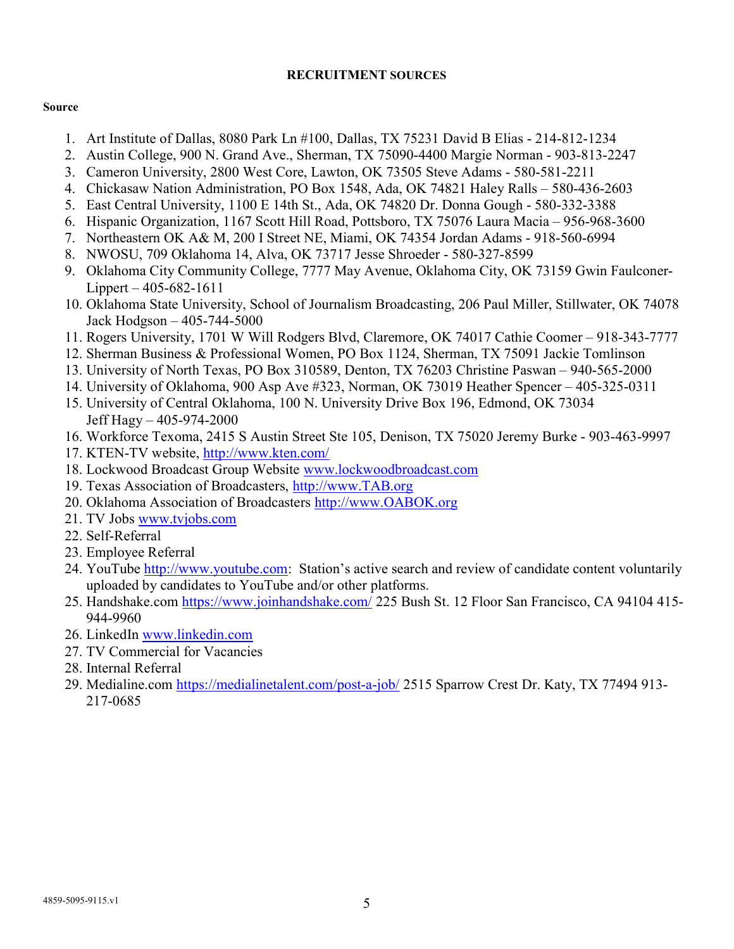#### RECRUITMENT SOURCES

#### Source

- 1. Art Institute of Dallas, 8080 Park Ln #100, Dallas, TX 75231 David B Elias 214-812-1234
- 2. Austin College, 900 N. Grand Ave., Sherman, TX 75090-4400 Margie Norman 903-813-2247
- 3. Cameron University, 2800 West Core, Lawton, OK 73505 Steve Adams 580-581-2211
- 4. Chickasaw Nation Administration, PO Box 1548, Ada, OK 74821 Haley Ralls 580-436-2603
- 5. East Central University, 1100 E 14th St., Ada, OK 74820 Dr. Donna Gough 580-332-3388
- 6. Hispanic Organization, 1167 Scott Hill Road, Pottsboro, TX 75076 Laura Macia 956-968-3600
- 7. Northeastern OK A& M, 200 I Street NE, Miami, OK 74354 Jordan Adams 918-560-6994
- 8. NWOSU, 709 Oklahoma 14, Alva, OK 73717 Jesse Shroeder 580-327-8599
- 9. Oklahoma City Community College, 7777 May Avenue, Oklahoma City, OK 73159 Gwin Faulconer-Lippert – 405-682-1611
- 10. Oklahoma State University, School of Journalism Broadcasting, 206 Paul Miller, Stillwater, OK 74078 Jack Hodgson – 405-744-5000
- 11. Rogers University, 1701 W Will Rodgers Blvd, Claremore, OK 74017 Cathie Coomer 918-343-7777
- 12. Sherman Business & Professional Women, PO Box 1124, Sherman, TX 75091 Jackie Tomlinson
- 13. University of North Texas, PO Box 310589, Denton, TX 76203 Christine Paswan 940-565-2000
- 14. University of Oklahoma, 900 Asp Ave #323, Norman, OK 73019 Heather Spencer 405-325-0311
- 15. University of Central Oklahoma, 100 N. University Drive Box 196, Edmond, OK 73034 Jeff Hagy – 405-974-2000
- 16. Workforce Texoma, 2415 S Austin Street Ste 105, Denison, TX 75020 Jeremy Burke 903-463-9997
- 17. KTEN-TV website, http://www.kten.com/
- 18. Lockwood Broadcast Group Website www.lockwoodbroadcast.com
- 19. Texas Association of Broadcasters, http://www.TAB.org
- 20. Oklahoma Association of Broadcasters http://www.OABOK.org
- 21. TV Jobs www.tvjobs.com
- 22. Self-Referral
- 23. Employee Referral
- 24. YouTube http://www.youtube.com: Station's active search and review of candidate content voluntarily uploaded by candidates to YouTube and/or other platforms.
- 25. Handshake.com https://www.joinhandshake.com/ 225 Bush St. 12 Floor San Francisco, CA 94104 415- 944-9960
- 26. LinkedIn www.linkedin.com
- 27. TV Commercial for Vacancies
- 28. Internal Referral
- 29. Medialine.com https://medialinetalent.com/post-a-job/ 2515 Sparrow Crest Dr. Katy, TX 77494 913-217-0685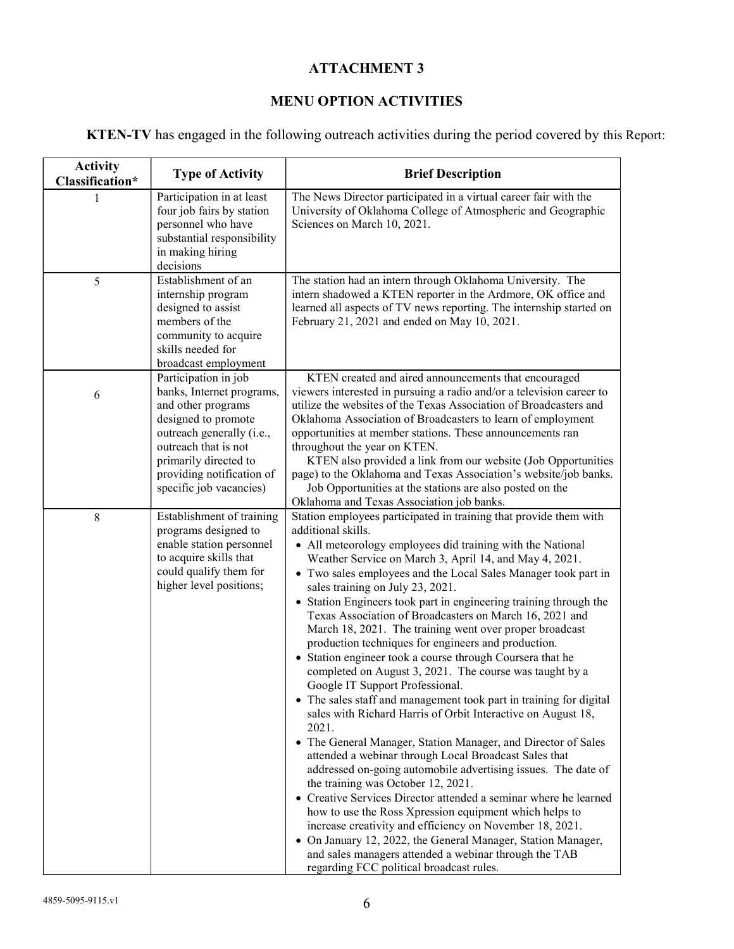## ATTACHMENT 3

# MENU OPTION ACTIVITIES

KTEN-TV has engaged in the following outreach activities during the period covered by this Report:

| <b>Activity</b><br>Classification* | <b>Type of Activity</b>                                                                                                                                                                                                              | <b>Brief Description</b>                                                                                                                                                                                                                                                                                                                                                                                                                                                                                                                                                                                                                                                                                                                                                                                                                                                                                                                                                                                                                                                                                                                                                                                                                                                                                                                                                                                                                                                          |
|------------------------------------|--------------------------------------------------------------------------------------------------------------------------------------------------------------------------------------------------------------------------------------|-----------------------------------------------------------------------------------------------------------------------------------------------------------------------------------------------------------------------------------------------------------------------------------------------------------------------------------------------------------------------------------------------------------------------------------------------------------------------------------------------------------------------------------------------------------------------------------------------------------------------------------------------------------------------------------------------------------------------------------------------------------------------------------------------------------------------------------------------------------------------------------------------------------------------------------------------------------------------------------------------------------------------------------------------------------------------------------------------------------------------------------------------------------------------------------------------------------------------------------------------------------------------------------------------------------------------------------------------------------------------------------------------------------------------------------------------------------------------------------|
| 1                                  | Participation in at least<br>four job fairs by station<br>personnel who have<br>substantial responsibility<br>in making hiring<br>decisions                                                                                          | The News Director participated in a virtual career fair with the<br>University of Oklahoma College of Atmospheric and Geographic<br>Sciences on March 10, 2021.                                                                                                                                                                                                                                                                                                                                                                                                                                                                                                                                                                                                                                                                                                                                                                                                                                                                                                                                                                                                                                                                                                                                                                                                                                                                                                                   |
| 5                                  | Establishment of an<br>internship program<br>designed to assist<br>members of the<br>community to acquire<br>skills needed for<br>broadcast employment                                                                               | The station had an intern through Oklahoma University. The<br>intern shadowed a KTEN reporter in the Ardmore, OK office and<br>learned all aspects of TV news reporting. The internship started on<br>February 21, 2021 and ended on May 10, 2021.                                                                                                                                                                                                                                                                                                                                                                                                                                                                                                                                                                                                                                                                                                                                                                                                                                                                                                                                                                                                                                                                                                                                                                                                                                |
| 6                                  | Participation in job<br>banks, Internet programs,<br>and other programs<br>designed to promote<br>outreach generally (i.e.,<br>outreach that is not<br>primarily directed to<br>providing notification of<br>specific job vacancies) | KTEN created and aired announcements that encouraged<br>viewers interested in pursuing a radio and/or a television career to<br>utilize the websites of the Texas Association of Broadcasters and<br>Oklahoma Association of Broadcasters to learn of employment<br>opportunities at member stations. These announcements ran<br>throughout the year on KTEN.<br>KTEN also provided a link from our website (Job Opportunities<br>page) to the Oklahoma and Texas Association's website/job banks.<br>Job Opportunities at the stations are also posted on the<br>Oklahoma and Texas Association job banks.                                                                                                                                                                                                                                                                                                                                                                                                                                                                                                                                                                                                                                                                                                                                                                                                                                                                       |
| $\,8\,$                            | Establishment of training<br>programs designed to<br>enable station personnel<br>to acquire skills that<br>could qualify them for<br>higher level positions;                                                                         | Station employees participated in training that provide them with<br>additional skills.<br>• All meteorology employees did training with the National<br>Weather Service on March 3, April 14, and May 4, 2021.<br>• Two sales employees and the Local Sales Manager took part in<br>sales training on July 23, 2021.<br>• Station Engineers took part in engineering training through the<br>Texas Association of Broadcasters on March 16, 2021 and<br>March 18, 2021. The training went over proper broadcast<br>production techniques for engineers and production.<br>• Station engineer took a course through Coursera that he<br>completed on August 3, 2021. The course was taught by a<br>Google IT Support Professional.<br>• The sales staff and management took part in training for digital<br>sales with Richard Harris of Orbit Interactive on August 18,<br>2021.<br>• The General Manager, Station Manager, and Director of Sales<br>attended a webinar through Local Broadcast Sales that<br>addressed on-going automobile advertising issues. The date of<br>the training was October 12, 2021.<br>• Creative Services Director attended a seminar where he learned<br>how to use the Ross Xpression equipment which helps to<br>increase creativity and efficiency on November 18, 2021.<br>• On January 12, 2022, the General Manager, Station Manager,<br>and sales managers attended a webinar through the TAB<br>regarding FCC political broadcast rules. |